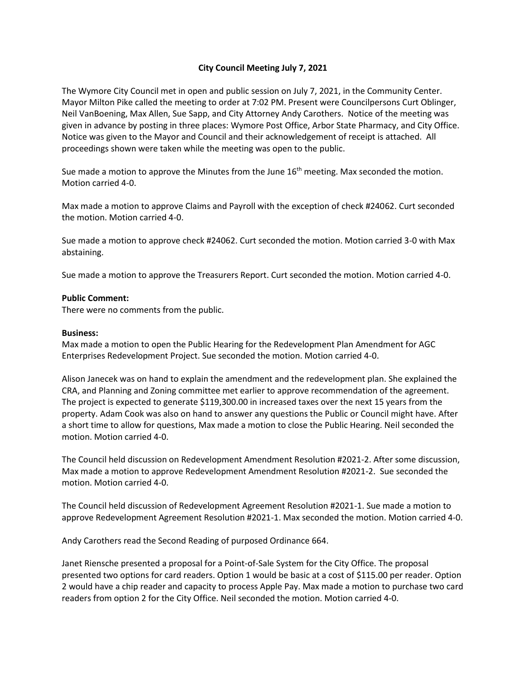## **City Council Meeting July 7, 2021**

The Wymore City Council met in open and public session on July 7, 2021, in the Community Center. Mayor Milton Pike called the meeting to order at 7:02 PM. Present were Councilpersons Curt Oblinger, Neil VanBoening, Max Allen, Sue Sapp, and City Attorney Andy Carothers. Notice of the meeting was given in advance by posting in three places: Wymore Post Office, Arbor State Pharmacy, and City Office. Notice was given to the Mayor and Council and their acknowledgement of receipt is attached. All proceedings shown were taken while the meeting was open to the public.

Sue made a motion to approve the Minutes from the June  $16<sup>th</sup>$  meeting. Max seconded the motion. Motion carried 4-0.

Max made a motion to approve Claims and Payroll with the exception of check #24062. Curt seconded the motion. Motion carried 4-0.

Sue made a motion to approve check #24062. Curt seconded the motion. Motion carried 3-0 with Max abstaining.

Sue made a motion to approve the Treasurers Report. Curt seconded the motion. Motion carried 4-0.

## **Public Comment:**

There were no comments from the public.

## **Business:**

Max made a motion to open the Public Hearing for the Redevelopment Plan Amendment for AGC Enterprises Redevelopment Project. Sue seconded the motion. Motion carried 4-0.

Alison Janecek was on hand to explain the amendment and the redevelopment plan. She explained the CRA, and Planning and Zoning committee met earlier to approve recommendation of the agreement. The project is expected to generate \$119,300.00 in increased taxes over the next 15 years from the property. Adam Cook was also on hand to answer any questions the Public or Council might have. After a short time to allow for questions, Max made a motion to close the Public Hearing. Neil seconded the motion. Motion carried 4-0.

The Council held discussion on Redevelopment Amendment Resolution #2021-2. After some discussion, Max made a motion to approve Redevelopment Amendment Resolution #2021-2. Sue seconded the motion. Motion carried 4-0.

The Council held discussion of Redevelopment Agreement Resolution #2021-1. Sue made a motion to approve Redevelopment Agreement Resolution #2021-1. Max seconded the motion. Motion carried 4-0.

Andy Carothers read the Second Reading of purposed Ordinance 664.

Janet Riensche presented a proposal for a Point-of-Sale System for the City Office. The proposal presented two options for card readers. Option 1 would be basic at a cost of \$115.00 per reader. Option 2 would have a chip reader and capacity to process Apple Pay. Max made a motion to purchase two card readers from option 2 for the City Office. Neil seconded the motion. Motion carried 4-0.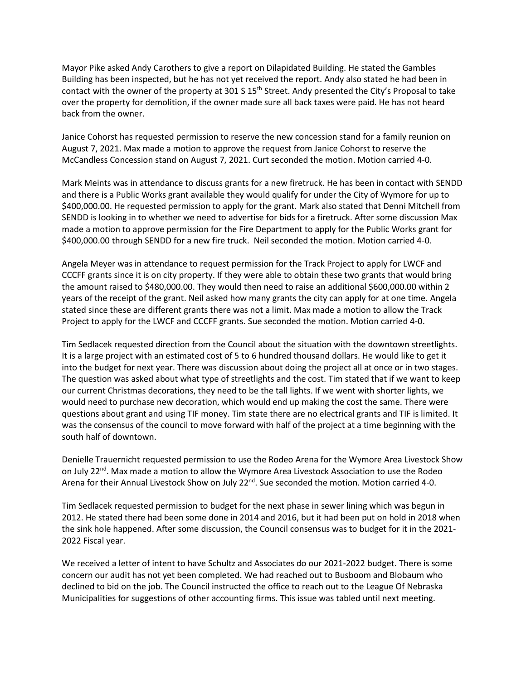Mayor Pike asked Andy Carothers to give a report on Dilapidated Building. He stated the Gambles Building has been inspected, but he has not yet received the report. Andy also stated he had been in contact with the owner of the property at 301 S 15<sup>th</sup> Street. Andy presented the City's Proposal to take over the property for demolition, if the owner made sure all back taxes were paid. He has not heard back from the owner.

Janice Cohorst has requested permission to reserve the new concession stand for a family reunion on August 7, 2021. Max made a motion to approve the request from Janice Cohorst to reserve the McCandless Concession stand on August 7, 2021. Curt seconded the motion. Motion carried 4-0.

Mark Meints was in attendance to discuss grants for a new firetruck. He has been in contact with SENDD and there is a Public Works grant available they would qualify for under the City of Wymore for up to \$400,000.00. He requested permission to apply for the grant. Mark also stated that Denni Mitchell from SENDD is looking in to whether we need to advertise for bids for a firetruck. After some discussion Max made a motion to approve permission for the Fire Department to apply for the Public Works grant for \$400,000.00 through SENDD for a new fire truck. Neil seconded the motion. Motion carried 4-0.

Angela Meyer was in attendance to request permission for the Track Project to apply for LWCF and CCCFF grants since it is on city property. If they were able to obtain these two grants that would bring the amount raised to \$480,000.00. They would then need to raise an additional \$600,000.00 within 2 years of the receipt of the grant. Neil asked how many grants the city can apply for at one time. Angela stated since these are different grants there was not a limit. Max made a motion to allow the Track Project to apply for the LWCF and CCCFF grants. Sue seconded the motion. Motion carried 4-0.

Tim Sedlacek requested direction from the Council about the situation with the downtown streetlights. It is a large project with an estimated cost of 5 to 6 hundred thousand dollars. He would like to get it into the budget for next year. There was discussion about doing the project all at once or in two stages. The question was asked about what type of streetlights and the cost. Tim stated that if we want to keep our current Christmas decorations, they need to be the tall lights. If we went with shorter lights, we would need to purchase new decoration, which would end up making the cost the same. There were questions about grant and using TIF money. Tim state there are no electrical grants and TIF is limited. It was the consensus of the council to move forward with half of the project at a time beginning with the south half of downtown.

Denielle Trauernicht requested permission to use the Rodeo Arena for the Wymore Area Livestock Show on July 22<sup>nd</sup>. Max made a motion to allow the Wymore Area Livestock Association to use the Rodeo Arena for their Annual Livestock Show on July 22<sup>nd</sup>. Sue seconded the motion. Motion carried 4-0.

Tim Sedlacek requested permission to budget for the next phase in sewer lining which was begun in 2012. He stated there had been some done in 2014 and 2016, but it had been put on hold in 2018 when the sink hole happened. After some discussion, the Council consensus was to budget for it in the 2021- 2022 Fiscal year.

We received a letter of intent to have Schultz and Associates do our 2021-2022 budget. There is some concern our audit has not yet been completed. We had reached out to Busboom and Blobaum who declined to bid on the job. The Council instructed the office to reach out to the League Of Nebraska Municipalities for suggestions of other accounting firms. This issue was tabled until next meeting.